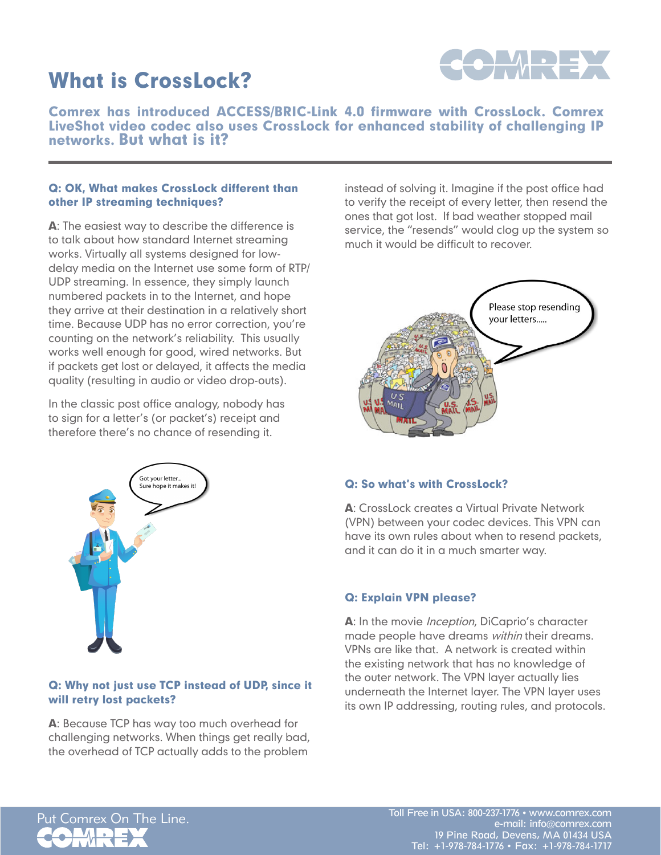# What is CrossLock?



Comrex has introduced ACCESS/BRIC-Link 4.0 firmware with CrossLock. Comrex LiveShot video codec also uses CrossLock for enhanced stability of challenging IP networks. But what is it?

#### Q: OK, What makes CrossLock different than other IP streaming techniques?

A: The easiest way to describe the difference is to talk about how standard Internet streaming works. Virtually all systems designed for lowdelay media on the Internet use some form of RTP/ UDP streaming. In essence, they simply launch numbered packets in to the Internet, and hope they arrive at their destination in a relatively short time. Because UDP has no error correction, you're counting on the network's reliability. This usually works well enough for good, wired networks. But if packets get lost or delayed, it affects the media quality (resulting in audio or video drop-outs).

In the classic post office analogy, nobody has to sign for a letter's (or packet's) receipt and therefore there's no chance of resending it.



#### Q: Why not just use TCP instead of UDP, since it will retry lost packets?

A: Because TCP has way too much overhead for challenging networks. When things get really bad, the overhead of TCP actually adds to the problem

instead of solving it. Imagine if the post office had to verify the receipt of every letter, then resend the ones that got lost. If bad weather stopped mail service, the "resends" would clog up the system so much it would be difficult to recover.



### Q: So what's with CrossLock?

A: CrossLock creates a Virtual Private Network (VPN) between your codec devices. This VPN can have its own rules about when to resend packets, and it can do it in a much smarter way.

#### Q: Explain VPN please?

A: In the movie *Inception*, DiCaprio's character made people have dreams *within* their dreams. VPNs are like that. A network is created within the existing network that has no knowledge of the outer network. The VPN layer actually lies underneath the Internet layer. The VPN layer uses its own IP addressing, routing rules, and protocols.

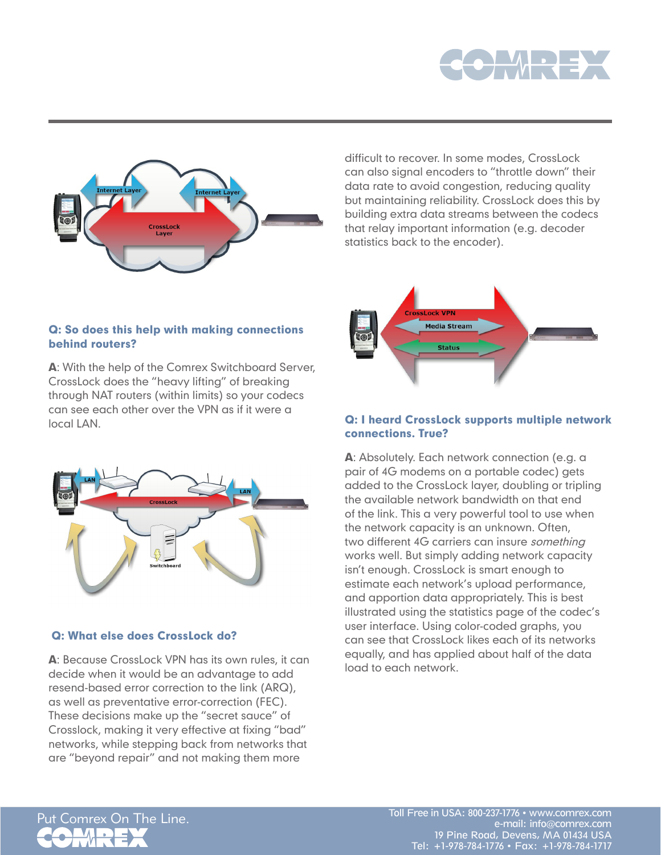



difficult to recover. In some modes, CrossLock can also signal encoders to "throttle down" their data rate to avoid congestion, reducing quality but maintaining reliability. CrossLock does this by building extra data streams between the codecs that relay important information (e.g. decoder statistics back to the encoder).



# A: With the help of the Comrex Switchboard Server,

CrossLock does the "heavy lifting" of breaking through NAT routers (within limits) so your codecs can see each other over the VPN as if it were a local LAN.

Q: So does this help with making connections

behind routers?



#### Q: What else does CrossLock do?

A: Because CrossLock VPN has its own rules, it can decide when it would be an advantage to add resend-based error correction to the link (ARQ), as well as preventative error-correction (FEC). These decisions make up the "secret sauce" of Crosslock, making it very effective at fixing "bad" networks, while stepping back from networks that are "beyond repair" and not making them more

### Q: I heard CrossLock supports multiple network connections. True?

A: Absolutely. Each network connection (e.g. a pair of 4G modems on a portable codec) gets added to the CrossLock layer, doubling or tripling the available network bandwidth on that end of the link. This a very powerful tool to use when the network capacity is an unknown. Often, two different 4G carriers can insure *something* works well. But simply adding network capacity isn't enough. CrossLock is smart enough to estimate each network's upload performance, and apportion data appropriately. This is best illustrated using the statistics page of the codec's user interface. Using color-coded graphs, you can see that CrossLock likes each of its networks equally, and has applied about half of the data load to each network.